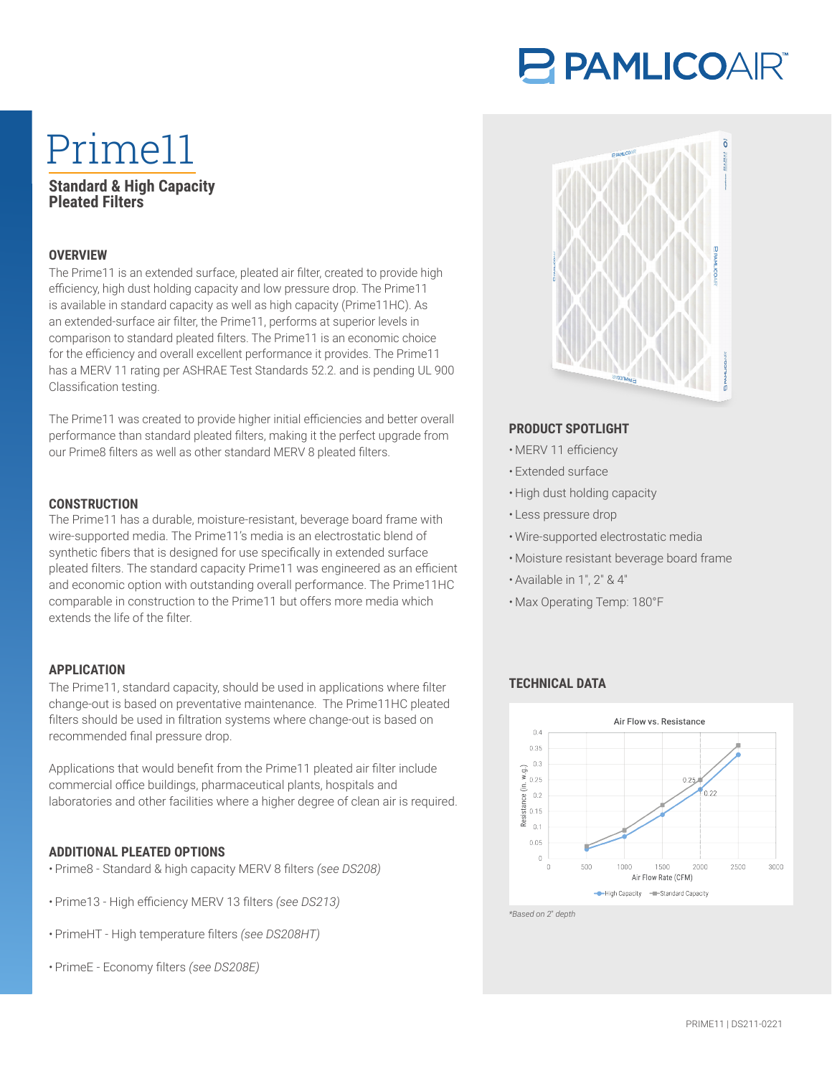# PAMLICOAIR®

## Prime11 **Standard & High Capacity**

### **Pleated Filters**

#### **OVERVIEW**

The Prime11 is an extended surface, pleated air filter, created to provide high efficiency, high dust holding capacity and low pressure drop. The Prime11 is available in standard capacity as well as high capacity (Prime11HC). As an extended-surface air filter, the Prime11, performs at superior levels in comparison to standard pleated filters. The Prime11 is an economic choice for the efficiency and overall excellent performance it provides. The Prime11 has a MERV 11 rating per ASHRAE Test Standards 52.2. and is pending UL 900 Classification testing.

The Prime11 was created to provide higher initial efficiencies and better overall performance than standard pleated filters, making it the perfect upgrade from our Prime8 filters as well as other standard MERV 8 pleated filters.

#### **CONSTRUCTION**

The Prime11 has a durable, moisture-resistant, beverage board frame with wire-supported media. The Prime11's media is an electrostatic blend of synthetic fibers that is designed for use specifically in extended surface pleated filters. The standard capacity Prime11 was engineered as an efficient and economic option with outstanding overall performance. The Prime11HC comparable in construction to the Prime11 but offers more media which extends the life of the filter.

#### **APPLICATION**

The Prime11, standard capacity, should be used in applications where filter change-out is based on preventative maintenance. The Prime11HC pleated filters should be used in filtration systems where change-out is based on recommended final pressure drop.

Applications that would benefit from the Prime11 pleated air filter include commercial office buildings, pharmaceutical plants, hospitals and laboratories and other facilities where a higher degree of clean air is required.

#### **ADDITIONAL PLEATED OPTIONS**

- Prime8 Standard & high capacity MERV 8 filters *(see DS208)*
- Prime13 High efficiency MERV 13 filters *(see DS213)*
- PrimeHT High temperature filters *(see DS208HT)*
- PrimeE Economy filters *(see DS208E)*



#### **PRODUCT SPOTLIGHT**

- MERV 11 efficiency
- Extended surface
- High dust holding capacity
- Less pressure drop
- Wire-supported electrostatic media
- Moisture resistant beverage board frame
- Available in 1″, 2″ & 4″
- Max Operating Temp: 180°F

#### **TECHNICAL DATA**



*\*Based on 2*″ *depth*